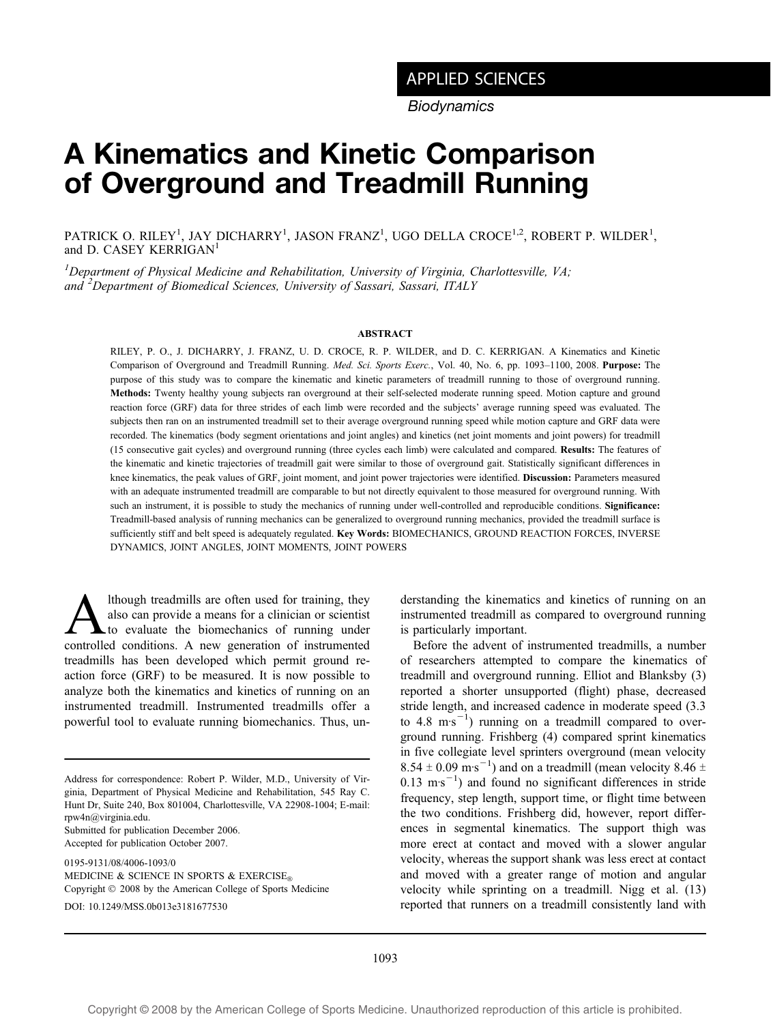**Biodynamics** 

# A Kinematics and Kinetic Comparison of Overground and Treadmill Running

PATRICK O. RILEY<sup>1</sup>, JAY DICHARRY<sup>1</sup>, JASON FRANZ<sup>1</sup>, UGO DELLA CROCE<sup>1,2</sup>, ROBERT P. WILDER<sup>1</sup>, and D. CASEY KERRIGAN<sup>1</sup>

<sup>1</sup>Department of Physical Medicine and Rehabilitation, University of Virginia, Charlottesville, VA; and <sup>2</sup>Department of Biomedical Sciences, University of Sassari, Sassari, ITALY

#### ABSTRACT

RILEY, P. O., J. DICHARRY, J. FRANZ, U. D. CROCE, R. P. WILDER, and D. C. KERRIGAN. A Kinematics and Kinetic Comparison of Overground and Treadmill Running. Med. Sci. Sports Exerc., Vol. 40, No. 6, pp. 1093–1100, 2008. Purpose: The purpose of this study was to compare the kinematic and kinetic parameters of treadmill running to those of overground running. Methods: Twenty healthy young subjects ran overground at their self-selected moderate running speed. Motion capture and ground reaction force (GRF) data for three strides of each limb were recorded and the subjects' average running speed was evaluated. The subjects then ran on an instrumented treadmill set to their average overground running speed while motion capture and GRF data were recorded. The kinematics (body segment orientations and joint angles) and kinetics (net joint moments and joint powers) for treadmill (15 consecutive gait cycles) and overground running (three cycles each limb) were calculated and compared. Results: The features of the kinematic and kinetic trajectories of treadmill gait were similar to those of overground gait. Statistically significant differences in knee kinematics, the peak values of GRF, joint moment, and joint power trajectories were identified. Discussion: Parameters measured with an adequate instrumented treadmill are comparable to but not directly equivalent to those measured for overground running. With such an instrument, it is possible to study the mechanics of running under well-controlled and reproducible conditions. Significance: Treadmill-based analysis of running mechanics can be generalized to overground running mechanics, provided the treadmill surface is sufficiently stiff and belt speed is adequately regulated. Key Words: BIOMECHANICS, GROUND REACTION FORCES, INVERSE DYNAMICS, JOINT ANGLES, JOINT MOMENTS, JOINT POWERS

Ithough treadmills are often used for training, they<br>also can provide a means for a clinician or scientist<br>to evaluate the biomechanics of running under<br>controlled conditions. A new generation of instrumented also can provide a means for a clinician or scientist to evaluate the biomechanics of running under controlled conditions. A new generation of instrumented treadmills has been developed which permit ground reaction force (GRF) to be measured. It is now possible to analyze both the kinematics and kinetics of running on an instrumented treadmill. Instrumented treadmills offer a powerful tool to evaluate running biomechanics. Thus, un-

Submitted for publication December 2006.

Accepted for publication October 2007.

0195-9131/08/4006-1093/0 MEDICINE & SCIENCE IN SPORTS & EXERCISE® Copyright  $©$  2008 by the American College of Sports Medicine DOI: 10.1249/MSS.0b013e3181677530

derstanding the kinematics and kinetics of running on an instrumented treadmill as compared to overground running is particularly important.

Before the advent of instrumented treadmills, a number of researchers attempted to compare the kinematics of treadmill and overground running. Elliot and Blanksby (3) reported a shorter unsupported (flight) phase, decreased stride length, and increased cadence in moderate speed (3.3 to  $4.8 \text{ m} \text{s}^{-1}$ ) running on a treadmill compared to overground running. Frishberg (4) compared sprint kinematics in five collegiate level sprinters overground (mean velocity  $8.54 \pm 0.09 \text{ m} \cdot \text{s}^{-1}$ ) and on a treadmill (mean velocity  $8.46 \pm$  $0.13 \text{ m}\text{s}^{-1}$ ) and found no significant differences in stride frequency, step length, support time, or flight time between the two conditions. Frishberg did, however, report differences in segmental kinematics. The support thigh was more erect at contact and moved with a slower angular velocity, whereas the support shank was less erect at contact and moved with a greater range of motion and angular velocity while sprinting on a treadmill. Nigg et al. (13) reported that runners on a treadmill consistently land with

1093

Address for correspondence: Robert P. Wilder, M.D., University of Virginia, Department of Physical Medicine and Rehabilitation, 545 Ray C. Hunt Dr, Suite 240, Box 801004, Charlottesville, VA 22908-1004; E-mail: rpw4n@virginia.edu.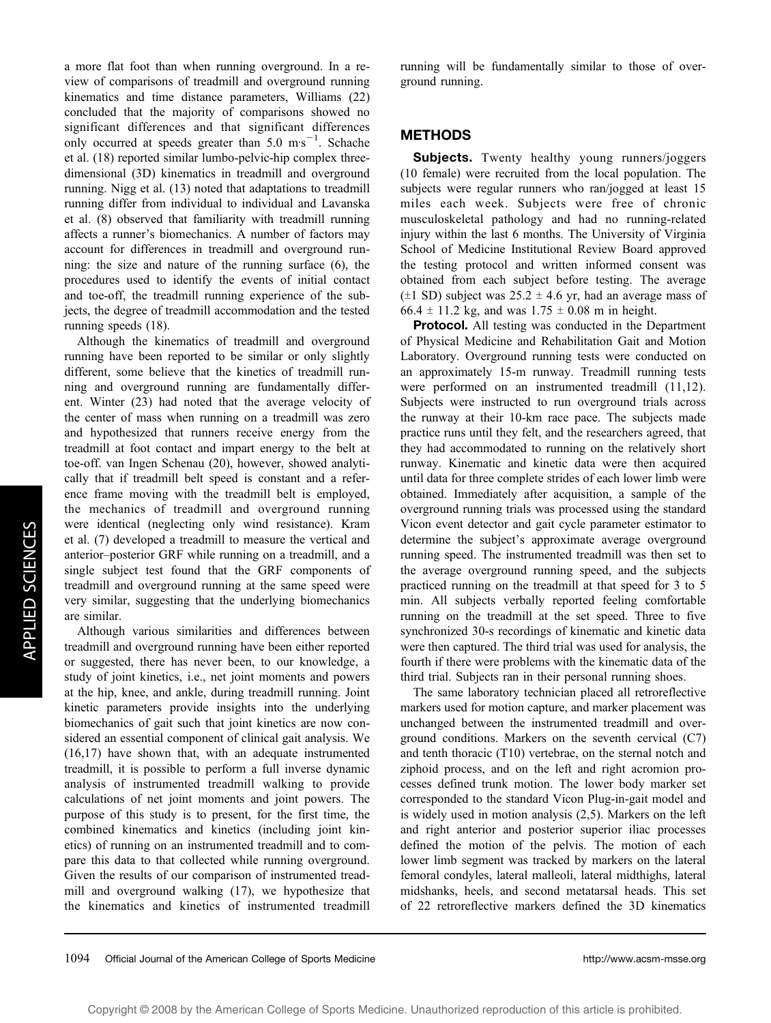a more flat foot than when running overground. In a review of comparisons of treadmill and overground running kinematics and time distance parameters, Williams (22) concluded that the majority of comparisons showed no significant differences and that significant differences only occurred at speeds greater than  $5.0 \text{ m}\text{s}^{-1}$ . Schache et al. (18) reported similar lumbo-pelvic-hip complex threedimensional (3D) kinematics in treadmill and overground running. Nigg et al. (13) noted that adaptations to treadmill running differ from individual to individual and Lavanska et al. (8) observed that familiarity with treadmill running affects a runner's biomechanics. A number of factors may account for differences in treadmill and overground running: the size and nature of the running surface (6), the procedures used to identify the events of initial contact and toe-off, the treadmill running experience of the subjects, the degree of treadmill accommodation and the tested running speeds (18).

Although the kinematics of treadmill and overground running have been reported to be similar or only slightly different, some believe that the kinetics of treadmill running and overground running are fundamentally different. Winter (23) had noted that the average velocity of the center of mass when running on a treadmill was zero and hypothesized that runners receive energy from the treadmill at foot contact and impart energy to the belt at toe-off. van Ingen Schenau (20), however, showed analytically that if treadmill belt speed is constant and a reference frame moving with the treadmill belt is employed, the mechanics of treadmill and overground running were identical (neglecting only wind resistance). Kram et al. (7) developed a treadmill to measure the vertical and anterior–posterior GRF while running on a treadmill, and a single subject test found that the GRF components of treadmill and overground running at the same speed were very similar, suggesting that the underlying biomechanics are similar.

Although various similarities and differences between treadmill and overground running have been either reported or suggested, there has never been, to our knowledge, a study of joint kinetics, i.e., net joint moments and powers at the hip, knee, and ankle, during treadmill running. Joint kinetic parameters provide insights into the underlying biomechanics of gait such that joint kinetics are now considered an essential component of clinical gait analysis. We (16,17) have shown that, with an adequate instrumented treadmill, it is possible to perform a full inverse dynamic analysis of instrumented treadmill walking to provide calculations of net joint moments and joint powers. The purpose of this study is to present, for the first time, the combined kinematics and kinetics (including joint kinetics) of running on an instrumented treadmill and to compare this data to that collected while running overground. Given the results of our comparison of instrumented treadmill and overground walking (17), we hypothesize that the kinematics and kinetics of instrumented treadmill

running will be fundamentally similar to those of overground running.

# METHODS

**Subjects.** Twenty healthy young runners/joggers (10 female) were recruited from the local population. The subjects were regular runners who ran/jogged at least 15 miles each week. Subjects were free of chronic musculoskeletal pathology and had no running-related injury within the last 6 months. The University of Virginia School of Medicine Institutional Review Board approved the testing protocol and written informed consent was obtained from each subject before testing. The average  $(\pm 1$  SD) subject was 25.2  $\pm$  4.6 yr, had an average mass of 66.4  $\pm$  11.2 kg, and was 1.75  $\pm$  0.08 m in height.

Protocol. All testing was conducted in the Department of Physical Medicine and Rehabilitation Gait and Motion Laboratory. Overground running tests were conducted on an approximately 15-m runway. Treadmill running tests were performed on an instrumented treadmill (11,12). Subjects were instructed to run overground trials across the runway at their 10-km race pace. The subjects made practice runs until they felt, and the researchers agreed, that they had accommodated to running on the relatively short runway. Kinematic and kinetic data were then acquired until data for three complete strides of each lower limb were obtained. Immediately after acquisition, a sample of the overground running trials was processed using the standard Vicon event detector and gait cycle parameter estimator to determine the subject's approximate average overground running speed. The instrumented treadmill was then set to the average overground running speed, and the subjects practiced running on the treadmill at that speed for 3 to 5 min. All subjects verbally reported feeling comfortable running on the treadmill at the set speed. Three to five synchronized 30-s recordings of kinematic and kinetic data were then captured. The third trial was used for analysis, the fourth if there were problems with the kinematic data of the third trial. Subjects ran in their personal running shoes.

The same laboratory technician placed all retroreflective markers used for motion capture, and marker placement was unchanged between the instrumented treadmill and overground conditions. Markers on the seventh cervical (C7) and tenth thoracic (T10) vertebrae, on the sternal notch and ziphoid process, and on the left and right acromion processes defined trunk motion. The lower body marker set corresponded to the standard Vicon Plug-in-gait model and is widely used in motion analysis (2,5). Markers on the left and right anterior and posterior superior iliac processes defined the motion of the pelvis. The motion of each lower limb segment was tracked by markers on the lateral femoral condyles, lateral malleoli, lateral midthighs, lateral midshanks, heels, and second metatarsal heads. This set of 22 retroreflective markers defined the 3D kinematics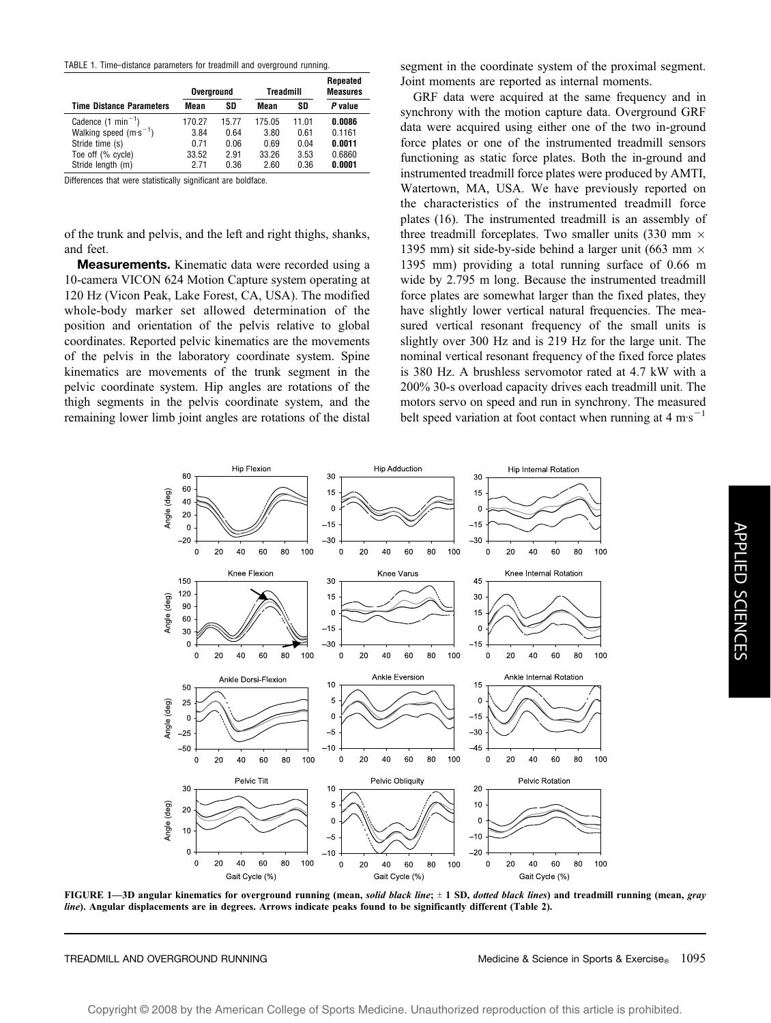TABLE 1. Time–distance parameters for treadmill and overground running.

|                                  | Overground |       | Treadmill | Repeated<br><b>Measures</b> |         |
|----------------------------------|------------|-------|-----------|-----------------------------|---------|
| <b>Time Distance Parameters</b>  | Mean       | SD    | Mean      | SD                          | P value |
| Cadence $(1 \text{ min}^{-1})$   | 170.27     | 15.77 | 175.05    | 11.01                       | 0.0086  |
| Walking speed $(m \cdot s^{-1})$ | 3.84       | 0.64  | 3.80      | 0.61                        | 0.1161  |
| Stride time (s)                  | 0.71       | 0.06  | 0.69      | 0.04                        | 0.0011  |
| Toe off (% cycle)                | 33.52      | 2.91  | 33.26     | 3.53                        | 0.6860  |
| Stride length (m)                | 271        | 0.36  | 2.60      | 0.36                        | 0.0001  |
|                                  |            |       |           |                             |         |

Differences that were statistically significant are boldface.

of the trunk and pelvis, and the left and right thighs, shanks, and feet.

Measurements. Kinematic data were recorded using a 10-camera VICON 624 Motion Capture system operating at 120 Hz (Vicon Peak, Lake Forest, CA, USA). The modified whole-body marker set allowed determination of the position and orientation of the pelvis relative to global coordinates. Reported pelvic kinematics are the movements of the pelvis in the laboratory coordinate system. Spine kinematics are movements of the trunk segment in the pelvic coordinate system. Hip angles are rotations of the thigh segments in the pelvis coordinate system, and the remaining lower limb joint angles are rotations of the distal

segment in the coordinate system of the proximal segment. Joint moments are reported as internal moments.

GRF data were acquired at the same frequency and in synchrony with the motion capture data. Overground GRF data were acquired using either one of the two in-ground force plates or one of the instrumented treadmill sensors functioning as static force plates. Both the in-ground and instrumented treadmill force plates were produced by AMTI, Watertown, MA, USA. We have previously reported on the characteristics of the instrumented treadmill force plates (16). The instrumented treadmill is an assembly of three treadmill forceplates. Two smaller units  $(330 \text{ mm} \times$ 1395 mm) sit side-by-side behind a larger unit (663 mm  $\times$ 1395 mm) providing a total running surface of 0.66 m wide by 2.795 m long. Because the instrumented treadmill force plates are somewhat larger than the fixed plates, they have slightly lower vertical natural frequencies. The measured vertical resonant frequency of the small units is slightly over 300 Hz and is 219 Hz for the large unit. The nominal vertical resonant frequency of the fixed force plates is 380 Hz. A brushless servomotor rated at 4.7 kW with a 200% 30-s overload capacity drives each treadmill unit. The motors servo on speed and run in synchrony. The measured belt speed variation at foot contact when running at  $4 \text{ m} \text{s}^{-1}$ 



FIGURE 1—3D angular kinematics for overground running (mean, solid black line;  $\pm$  1 SD, dotted black lines) and treadmill running (mean, gray line). Angular displacements are in degrees. Arrows indicate peaks found to be significantly different (Table 2).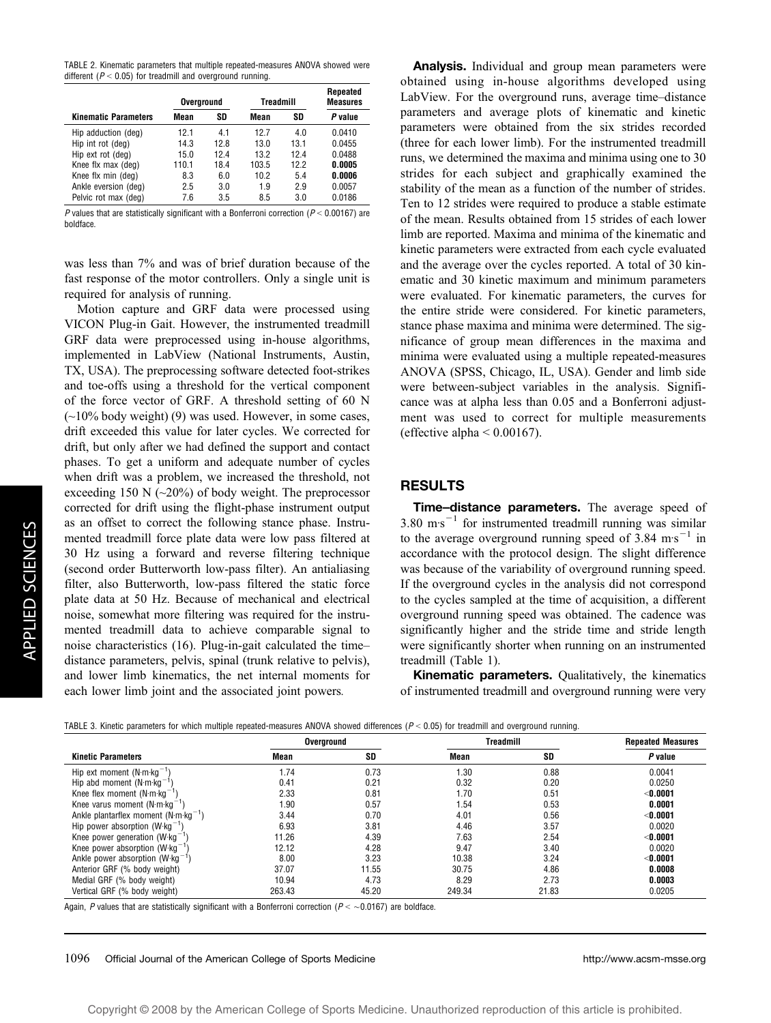TABLE 2. Kinematic parameters that multiple repeated-measures ANOVA showed were different ( $P < 0.05$ ) for treadmill and overground running.

|                             | Overground |      | Treadmill |      | Repeated<br><b>Measures</b> |  |
|-----------------------------|------------|------|-----------|------|-----------------------------|--|
| <b>Kinematic Parameters</b> | Mean       | SD   | Mean      | SD   | P value                     |  |
| Hip adduction (deg)         | 12.1       | 4.1  | 127       | 4.0  | 0.0410                      |  |
| Hip int rot (deg)           | 14.3       | 12.8 | 13.0      | 13.1 | 0.0455                      |  |
| Hip ext rot (deg)           | 15.0       | 12.4 | 13.2      | 124  | 0.0488                      |  |
| Knee flx max (deg)          | 110.1      | 18.4 | 103.5     | 12.2 | 0.0005                      |  |
| Knee flx min (deg)          | 8.3        | 6.0  | 10.2      | 5.4  | 0.0006                      |  |
| Ankle eversion (deg)        | 2.5        | 3.0  | 1.9       | 2.9  | 0.0057                      |  |
| Pelvic rot max (deg)        | 7.6        | 3.5  | 8.5       | 3.0  | 0.0186                      |  |

P values that are statistically significant with a Bonferroni correction ( $P < 0.00167$ ) are boldface.

was less than 7% and was of brief duration because of the fast response of the motor controllers. Only a single unit is required for analysis of running.

Motion capture and GRF data were processed using VICON Plug-in Gait. However, the instrumented treadmill GRF data were preprocessed using in-house algorithms, implemented in LabView (National Instruments, Austin, TX, USA). The preprocessing software detected foot-strikes and toe-offs using a threshold for the vertical component of the force vector of GRF. A threshold setting of 60 N  $(\sim]10\%$  body weight) (9) was used. However, in some cases, drift exceeded this value for later cycles. We corrected for drift, but only after we had defined the support and contact phases. To get a uniform and adequate number of cycles when drift was a problem, we increased the threshold, not exceeding 150 N  $(\sim 20\%)$  of body weight. The preprocessor corrected for drift using the flight-phase instrument output as an offset to correct the following stance phase. Instrumented treadmill force plate data were low pass filtered at 30 Hz using a forward and reverse filtering technique (second order Butterworth low-pass filter). An antialiasing filter, also Butterworth, low-pass filtered the static force plate data at 50 Hz. Because of mechanical and electrical noise, somewhat more filtering was required for the instrumented treadmill data to achieve comparable signal to noise characteristics (16). Plug-in-gait calculated the time– distance parameters, pelvis, spinal (trunk relative to pelvis), and lower limb kinematics, the net internal moments for each lower limb joint and the associated joint powers.

Analysis. Individual and group mean parameters were obtained using in-house algorithms developed using LabView. For the overground runs, average time–distance parameters and average plots of kinematic and kinetic parameters were obtained from the six strides recorded (three for each lower limb). For the instrumented treadmill runs, we determined the maxima and minima using one to 30 strides for each subject and graphically examined the stability of the mean as a function of the number of strides. Ten to 12 strides were required to produce a stable estimate of the mean. Results obtained from 15 strides of each lower limb are reported. Maxima and minima of the kinematic and kinetic parameters were extracted from each cycle evaluated and the average over the cycles reported. A total of 30 kinematic and 30 kinetic maximum and minimum parameters were evaluated. For kinematic parameters, the curves for the entire stride were considered. For kinetic parameters, stance phase maxima and minima were determined. The significance of group mean differences in the maxima and minima were evaluated using a multiple repeated-measures ANOVA (SPSS, Chicago, IL, USA). Gender and limb side were between-subject variables in the analysis. Significance was at alpha less than 0.05 and a Bonferroni adjustment was used to correct for multiple measurements (effective alpha  $< 0.00167$ ).

# RESULTS

**Time–distance parameters.** The average speed of  $3.80 \text{ m}\text{s}^{-1}$  for instrumented treadmill running was similar to the average overground running speed of  $3.84 \text{ m} \cdot \text{s}^{-1}$  in accordance with the protocol design. The slight difference was because of the variability of overground running speed. If the overground cycles in the analysis did not correspond to the cycles sampled at the time of acquisition, a different overground running speed was obtained. The cadence was significantly higher and the stride time and stride length were significantly shorter when running on an instrumented treadmill (Table 1).

Kinematic parameters. Qualitatively, the kinematics of instrumented treadmill and overground running were very

|  |  |  |  |  | TABLE 3. Kinetic parameters for which multiple repeated-measures ANOVA showed differences ( $P < 0.05$ ) for treadmill and overground running. |  |  |  |  |  |
|--|--|--|--|--|------------------------------------------------------------------------------------------------------------------------------------------------|--|--|--|--|--|
|--|--|--|--|--|------------------------------------------------------------------------------------------------------------------------------------------------|--|--|--|--|--|

|                                                   | Overground |       | <b>Treadmill</b> | <b>Repeated Measures</b> |            |  |
|---------------------------------------------------|------------|-------|------------------|--------------------------|------------|--|
| <b>Kinetic Parameters</b>                         | Mean       | SD    | Mean             | SD                       | P value    |  |
| Hip ext moment $(N·m·kg-1)$                       | 1.74       | 0.73  | 1.30             | 0.88                     | 0.0041     |  |
| Hip abd moment $(N-m \cdot kq^{-1})$              | 0.41       | 0.21  | 0.32             | 0.20                     | 0.0250     |  |
| Knee flex moment $(N-m \cdot kq^{-1})$            | 2.33       | 0.81  | 1.70             | 0.51                     | $<$ 0.0001 |  |
| Knee varus moment $(N-m \cdot kq^{-1})$           | 1.90       | 0.57  | 1.54             | 0.53                     | 0.0001     |  |
| Ankle plantarflex moment $(N-m \cdot kq^{-1})$    | 3.44       | 0.70  | 4.01             | 0.56                     | $<$ 0.0001 |  |
| Hip power absorption (W $kg^{-1}$ )               | 6.93       | 3.81  | 4.46             | 3.57                     | 0.0020     |  |
| Knee power generation (W $kg^{-1}$                | 11.26      | 4.39  | 7.63             | 2.54                     | $<$ 0.0001 |  |
| Knee power absorption (W $kg^{-1}$                | 12.12      | 4.28  | 9.47             | 3.40                     | 0.0020     |  |
| Ankle power absorption $(W \cdot \text{kg}^{-1})$ | 8.00       | 3.23  | 10.38            | 3.24                     | $<$ 0.0001 |  |
| Anterior GRF (% body weight)                      | 37.07      | 11.55 | 30.75            | 4.86                     | 0.0008     |  |
| Medial GRF (% body weight)                        | 10.94      | 4.73  | 8.29             | 2.73                     | 0.0003     |  |
| Vertical GRF (% body weight)                      | 263.43     | 45.20 | 249.34           | 21.83                    | 0.0205     |  |

Again, P values that are statistically significant with a Bonferroni correction ( $P < \sim 0.0167$ ) are boldface.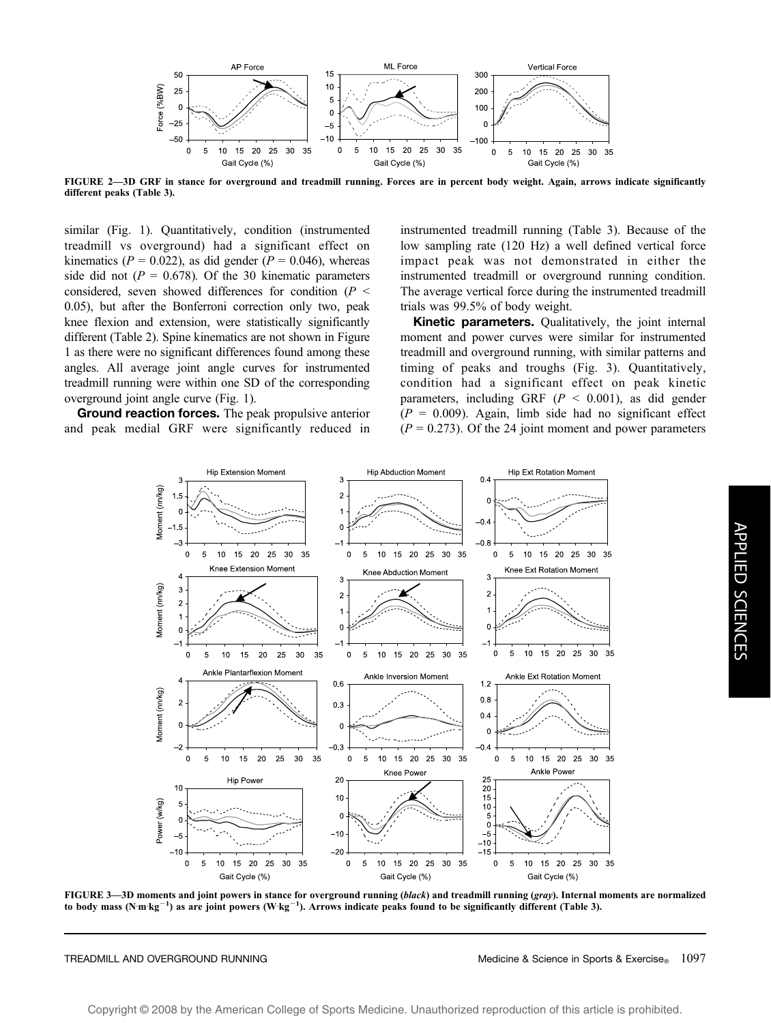

FIGURE 2—3D GRF in stance for overground and treadmill running. Forces are in percent body weight. Again, arrows indicate significantly different peaks (Table 3).

similar (Fig. 1). Quantitatively, condition (instrumented treadmill vs overground) had a significant effect on kinematics ( $P = 0.022$ ), as did gender ( $P = 0.046$ ), whereas side did not ( $P = 0.678$ ). Of the 30 kinematic parameters considered, seven showed differences for condition ( $P \leq$ 0.05), but after the Bonferroni correction only two, peak knee flexion and extension, were statistically significantly different (Table 2). Spine kinematics are not shown in Figure 1 as there were no significant differences found among these angles. All average joint angle curves for instrumented treadmill running were within one SD of the corresponding overground joint angle curve (Fig. 1).

Ground reaction forces. The peak propulsive anterior and peak medial GRF were significantly reduced in instrumented treadmill running (Table 3). Because of the low sampling rate (120 Hz) a well defined vertical force impact peak was not demonstrated in either the instrumented treadmill or overground running condition. The average vertical force during the instrumented treadmill trials was 99.5% of body weight.

Kinetic parameters. Qualitatively, the joint internal moment and power curves were similar for instrumented treadmill and overground running, with similar patterns and timing of peaks and troughs (Fig. 3). Quantitatively, condition had a significant effect on peak kinetic parameters, including GRF  $(P < 0.001)$ , as did gender  $(P = 0.009)$ . Again, limb side had no significant effect  $(P = 0.273)$ . Of the 24 joint moment and power parameters



FIGURE 3-3D moments and joint powers in stance for overground running (black) and treadmill running (gray). Internal moments are normalized to body mass  $(Nm\,kg^{-1})$  as are joint powers  $(W\,kg^{-1})$ . Arrows indicate peaks found to be significantly different (Table 3).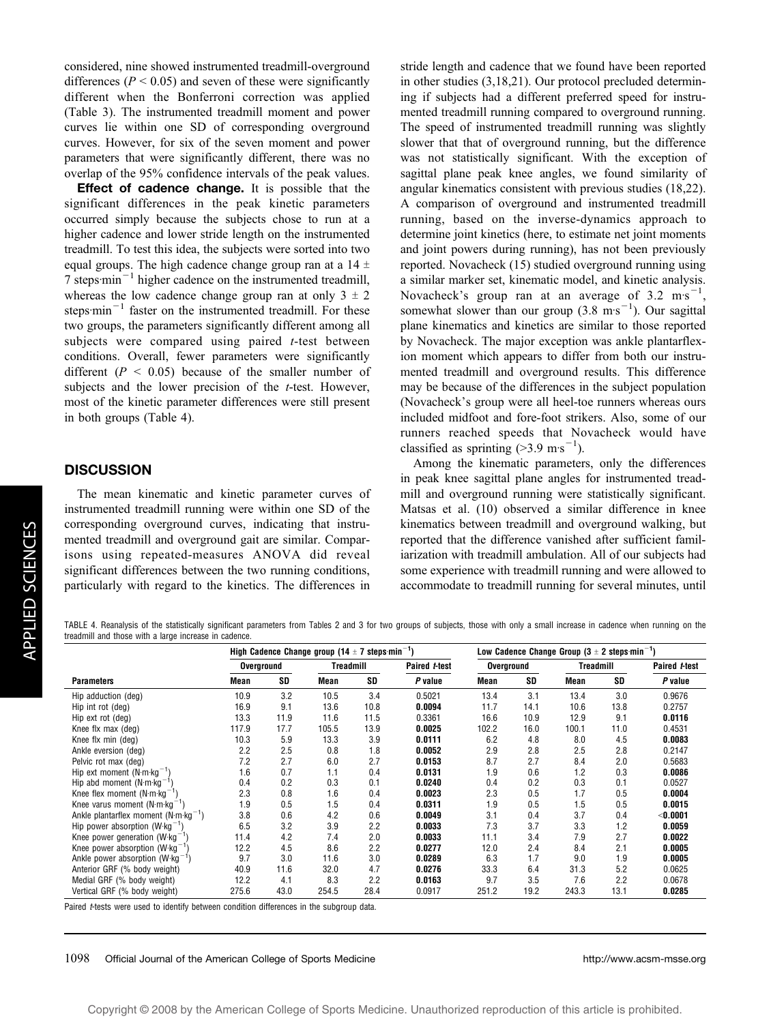considered, nine showed instrumented treadmill-overground differences ( $P < 0.05$ ) and seven of these were significantly different when the Bonferroni correction was applied (Table 3). The instrumented treadmill moment and power curves lie within one SD of corresponding overground curves. However, for six of the seven moment and power parameters that were significantly different, there was no overlap of the 95% confidence intervals of the peak values.

**Effect of cadence change.** It is possible that the significant differences in the peak kinetic parameters occurred simply because the subjects chose to run at a higher cadence and lower stride length on the instrumented treadmill. To test this idea, the subjects were sorted into two equal groups. The high cadence change group ran at a  $14 \pm$  $7$  steps $\min^{-1}$  higher cadence on the instrumented treadmill, whereas the low cadence change group ran at only  $3 \pm 2$ steps $\text{min}^{-1}$  faster on the instrumented treadmill. For these two groups, the parameters significantly different among all subjects were compared using paired  $t$ -test between conditions. Overall, fewer parameters were significantly different ( $P < 0.05$ ) because of the smaller number of subjects and the lower precision of the  $t$ -test. However, most of the kinetic parameter differences were still present in both groups (Table 4).

### **DISCUSSION**

The mean kinematic and kinetic parameter curves of instrumented treadmill running were within one SD of the corresponding overground curves, indicating that instrumented treadmill and overground gait are similar. Comparisons using repeated-measures ANOVA did reveal significant differences between the two running conditions, particularly with regard to the kinetics. The differences in

stride length and cadence that we found have been reported in other studies (3,18,21). Our protocol precluded determining if subjects had a different preferred speed for instrumented treadmill running compared to overground running. The speed of instrumented treadmill running was slightly slower that that of overground running, but the difference was not statistically significant. With the exception of sagittal plane peak knee angles, we found similarity of angular kinematics consistent with previous studies (18,22). A comparison of overground and instrumented treadmill running, based on the inverse-dynamics approach to determine joint kinetics (here, to estimate net joint moments and joint powers during running), has not been previously reported. Novacheck (15) studied overground running using a similar marker set, kinematic model, and kinetic analysis. Novacheck's group ran at an average of 3.2 m $\text{s}^{-1}$ , somewhat slower than our group  $(3.8 \text{ m/s}^{-1})$ . Our sagittal plane kinematics and kinetics are similar to those reported by Novacheck. The major exception was ankle plantarflexion moment which appears to differ from both our instrumented treadmill and overground results. This difference may be because of the differences in the subject population (Novacheck's group were all heel-toe runners whereas ours included midfoot and fore-foot strikers. Also, some of our runners reached speeds that Novacheck would have classified as sprinting  $(>3.9 \text{ m}\cdot\text{s}^{-1})$ .

Among the kinematic parameters, only the differences in peak knee sagittal plane angles for instrumented treadmill and overground running were statistically significant. Matsas et al. (10) observed a similar difference in knee kinematics between treadmill and overground walking, but reported that the difference vanished after sufficient familiarization with treadmill ambulation. All of our subjects had some experience with treadmill running and were allowed to accommodate to treadmill running for several minutes, until

TABLE 4. Reanalysis of the statistically significant parameters from Tables 2 and 3 for two groups of subjects, those with only a small increase in cadence when running on the treadmill and those with a large increase in cadence.

|                                                | High Cadence Change group (14 $\pm$ 7 steps min <sup>-1</sup> ) |      |                  |      |                       | Low Cadence Change Group (3 $\pm$ 2 steps min <sup>-1</sup> ) |      |                  |           |               |  |
|------------------------------------------------|-----------------------------------------------------------------|------|------------------|------|-----------------------|---------------------------------------------------------------|------|------------------|-----------|---------------|--|
|                                                | Overground                                                      |      | <b>Treadmill</b> |      | Paired <i>t</i> -test | Overground                                                    |      | <b>Treadmill</b> |           | Paired t-test |  |
| <b>Parameters</b>                              | Mean                                                            | SD   | Mean             | SD   | P value               | Mean                                                          | SD   | Mean             | <b>SD</b> | P value       |  |
| Hip adduction (deg)                            | 10.9                                                            | 3.2  | 10.5             | 3.4  | 0.5021                | 13.4                                                          | 3.1  | 13.4             | 3.0       | 0.9676        |  |
| Hip int rot (deg)                              | 16.9                                                            | 9.1  | 13.6             | 10.8 | 0.0094                | 11.7                                                          | 14.1 | 10.6             | 13.8      | 0.2757        |  |
| Hip ext rot (deg)                              | 13.3                                                            | 11.9 | 11.6             | 11.5 | 0.3361                | 16.6                                                          | 10.9 | 12.9             | 9.1       | 0.0116        |  |
| Knee flx max (deg)                             | 117.9                                                           | 17.7 | 105.5            | 13.9 | 0.0025                | 102.2                                                         | 16.0 | 100.1            | 11.0      | 0.4531        |  |
| Knee flx min (deg)                             | 10.3                                                            | 5.9  | 13.3             | 3.9  | 0.0111                | 6.2                                                           | 4.8  | 8.0              | 4.5       | 0.0083        |  |
| Ankle eversion (deg)                           | 2.2                                                             | 2.5  | 0.8              | 1.8  | 0.0052                | 2.9                                                           | 2.8  | 2.5              | 2.8       | 0.2147        |  |
| Pelvic rot max (deg)                           | 7.2                                                             | 2.7  | 6.0              | 2.7  | 0.0153                | 8.7                                                           | 2.7  | 8.4              | 2.0       | 0.5683        |  |
| Hip ext moment (N $\cdot$ m $\cdot$ kg $^{-1}$ | 1.6                                                             | 0.7  | 1.1              | 0.4  | 0.0131                | 1.9                                                           | 0.6  | 1.2              | 0.3       | 0.0086        |  |
| Hip abd moment (N·m·kg <sup>-</sup>            | 0.4                                                             | 0.2  | 0.3              | 0.1  | 0.0240                | 0.4                                                           | 0.2  | 0.3              | 0.1       | 0.0527        |  |
| Knee flex moment $(N \cdot m \cdot kq^{-1})$   | 2.3                                                             | 0.8  | 1.6              | 0.4  | 0.0023                | 2.3                                                           | 0.5  | 1.7              | 0.5       | 0.0004        |  |
| Knee varus moment ( $N·m·kq^{-1}$ )            | 1.9                                                             | 0.5  | 1.5              | 0.4  | 0.0311                | 1.9                                                           | 0.5  | 1.5              | 0.5       | 0.0015        |  |
| Ankle plantarflex moment $(N-m \cdot kq^{-1})$ | 3.8                                                             | 0.6  | 4.2              | 0.6  | 0.0049                | 3.1                                                           | 0.4  | 3.7              | 0.4       | $<$ 0.0001    |  |
| Hip power absorption (W $kg^{-1}$ )            | 6.5                                                             | 3.2  | 3.9              | 2.2  | 0.0033                | 7.3                                                           | 3.7  | 3.3              | 1.2       | 0.0059        |  |
| Knee power generation (W $kg^-$                | 11.4                                                            | 4.2  | 7.4              | 2.0  | 0.0033                | 11.1                                                          | 3.4  | 7.9              | 2.7       | 0.0022        |  |
| Knee power absorption (W $kg$ <sup>-</sup>     | 12.2                                                            | 4.5  | 8.6              | 2.2  | 0.0277                | 12.0                                                          | 2.4  | 8.4              | 2.1       | 0.0005        |  |
| Ankle power absorption (W·kg)                  | 9.7                                                             | 3.0  | 11.6             | 3.0  | 0.0289                | 6.3                                                           | 1.7  | 9.0              | 1.9       | 0.0005        |  |
| Anterior GRF (% body weight)                   | 40.9                                                            | 11.6 | 32.0             | 4.7  | 0.0276                | 33.3                                                          | 6.4  | 31.3             | 5.2       | 0.0625        |  |
| Medial GRF (% body weight)                     | 12.2                                                            | 4.1  | 8.3              | 2.2  | 0.0163                | 9.7                                                           | 3.5  | 7.6              | 2.2       | 0.0678        |  |
| Vertical GRF (% body weight)                   | 275.6                                                           | 43.0 | 254.5            | 28.4 | 0.0917                | 251.2                                                         | 19.2 | 243.3            | 13.1      | 0.0285        |  |

Paired *t*-tests were used to identify between condition differences in the subgroup data.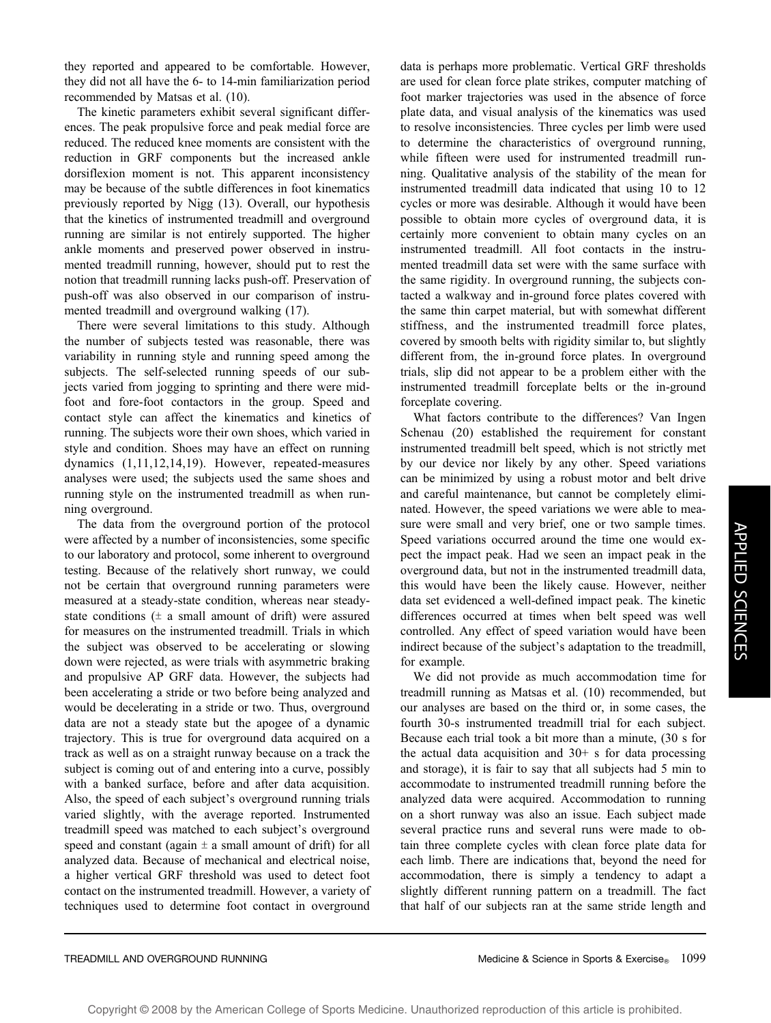they reported and appeared to be comfortable. However, they did not all have the 6- to 14-min familiarization period recommended by Matsas et al. (10).

The kinetic parameters exhibit several significant differences. The peak propulsive force and peak medial force are reduced. The reduced knee moments are consistent with the reduction in GRF components but the increased ankle dorsiflexion moment is not. This apparent inconsistency may be because of the subtle differences in foot kinematics previously reported by Nigg (13). Overall, our hypothesis that the kinetics of instrumented treadmill and overground running are similar is not entirely supported. The higher ankle moments and preserved power observed in instrumented treadmill running, however, should put to rest the notion that treadmill running lacks push-off. Preservation of push-off was also observed in our comparison of instrumented treadmill and overground walking (17).

There were several limitations to this study. Although the number of subjects tested was reasonable, there was variability in running style and running speed among the subjects. The self-selected running speeds of our subjects varied from jogging to sprinting and there were midfoot and fore-foot contactors in the group. Speed and contact style can affect the kinematics and kinetics of running. The subjects wore their own shoes, which varied in style and condition. Shoes may have an effect on running dynamics (1,11,12,14,19). However, repeated-measures analyses were used; the subjects used the same shoes and running style on the instrumented treadmill as when running overground.

The data from the overground portion of the protocol were affected by a number of inconsistencies, some specific to our laboratory and protocol, some inherent to overground testing. Because of the relatively short runway, we could not be certain that overground running parameters were measured at a steady-state condition, whereas near steadystate conditions  $(\pm a$  small amount of drift) were assured for measures on the instrumented treadmill. Trials in which the subject was observed to be accelerating or slowing down were rejected, as were trials with asymmetric braking and propulsive AP GRF data. However, the subjects had been accelerating a stride or two before being analyzed and would be decelerating in a stride or two. Thus, overground data are not a steady state but the apogee of a dynamic trajectory. This is true for overground data acquired on a track as well as on a straight runway because on a track the subject is coming out of and entering into a curve, possibly with a banked surface, before and after data acquisition. Also, the speed of each subject's overground running trials varied slightly, with the average reported. Instrumented treadmill speed was matched to each subject's overground speed and constant (again  $\pm$  a small amount of drift) for all analyzed data. Because of mechanical and electrical noise, a higher vertical GRF threshold was used to detect foot contact on the instrumented treadmill. However, a variety of techniques used to determine foot contact in overground

data is perhaps more problematic. Vertical GRF thresholds are used for clean force plate strikes, computer matching of foot marker trajectories was used in the absence of force plate data, and visual analysis of the kinematics was used to resolve inconsistencies. Three cycles per limb were used to determine the characteristics of overground running, while fifteen were used for instrumented treadmill running. Qualitative analysis of the stability of the mean for instrumented treadmill data indicated that using 10 to 12 cycles or more was desirable. Although it would have been possible to obtain more cycles of overground data, it is certainly more convenient to obtain many cycles on an instrumented treadmill. All foot contacts in the instrumented treadmill data set were with the same surface with the same rigidity. In overground running, the subjects contacted a walkway and in-ground force plates covered with the same thin carpet material, but with somewhat different stiffness, and the instrumented treadmill force plates, covered by smooth belts with rigidity similar to, but slightly different from, the in-ground force plates. In overground trials, slip did not appear to be a problem either with the instrumented treadmill forceplate belts or the in-ground forceplate covering.

What factors contribute to the differences? Van Ingen Schenau (20) established the requirement for constant instrumented treadmill belt speed, which is not strictly met by our device nor likely by any other. Speed variations can be minimized by using a robust motor and belt drive and careful maintenance, but cannot be completely eliminated. However, the speed variations we were able to measure were small and very brief, one or two sample times. Speed variations occurred around the time one would expect the impact peak. Had we seen an impact peak in the overground data, but not in the instrumented treadmill data, this would have been the likely cause. However, neither data set evidenced a well-defined impact peak. The kinetic differences occurred at times when belt speed was well controlled. Any effect of speed variation would have been indirect because of the subject's adaptation to the treadmill, for example.

We did not provide as much accommodation time for treadmill running as Matsas et al. (10) recommended, but our analyses are based on the third or, in some cases, the fourth 30-s instrumented treadmill trial for each subject. Because each trial took a bit more than a minute, (30 s for the actual data acquisition and  $30+$  s for data processing and storage), it is fair to say that all subjects had 5 min to accommodate to instrumented treadmill running before the analyzed data were acquired. Accommodation to running on a short runway was also an issue. Each subject made several practice runs and several runs were made to obtain three complete cycles with clean force plate data for each limb. There are indications that, beyond the need for accommodation, there is simply a tendency to adapt a slightly different running pattern on a treadmill. The fact that half of our subjects ran at the same stride length and